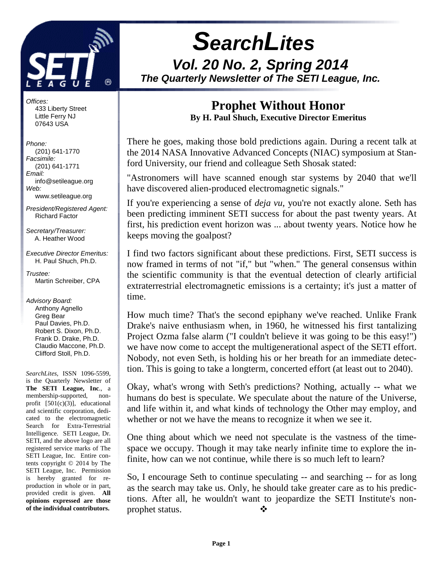

# **SearchLites Vol. 20 No. 2, Spring 2014 The Quarterly Newsletter of The SETI League, Inc.**

Offices: 433 Liberty Street Little Ferry NJ 07643 USA

Phone: (201) 641-1770 Facsimile: (201) 641-1771 Email: info@setileague.org Web: www.setileague.org

President/Registered Agent: Richard Factor

Secretary/Treasurer: A. Heather Wood

Executive Director Emeritus: H. Paul Shuch, Ph.D.

Trustee<sup>.</sup> Martin Schreiber, CPA

Advisory Board: Anthony Agnello Greg Bear Paul Davies, Ph.D. Robert S. Dixon, Ph.D. Frank D. Drake, Ph.D. Claudio Maccone, Ph.D. Clifford Stoll, Ph.D.

*SearchLites*, ISSN 1096-5599, is the Quarterly Newsletter of **The SETI League, Inc**., a membership-supported, nonprofit [501(c)(3)], educational and scientific corporation, dedicated to the electromagnetic Search for Extra-Terrestrial Intelligence. SETI League, Dr. SETI, and the above logo are all registered service marks of The SETI League, Inc. Entire contents copyright © 2014 by The SETI League, Inc. Permission is hereby granted for reproduction in whole or in part, provided credit is given. **All opinions expressed are those of the individual contributors.** 

# **Prophet Without Honor**

**By H. Paul Shuch, Executive Director Emeritus** 

There he goes, making those bold predictions again. During a recent talk at the 2014 NASA Innovative Advanced Concepts (NIAC) symposium at Stanford University, our friend and colleague Seth Shosak stated:

"Astronomers will have scanned enough star systems by 2040 that we'll have discovered alien-produced electromagnetic signals."

If you're experiencing a sense of *deja vu*, you're not exactly alone. Seth has been predicting imminent SETI success for about the past twenty years. At first, his prediction event horizon was ... about twenty years. Notice how he keeps moving the goalpost?

I find two factors significant about these predictions. First, SETI success is now framed in terms of not "if," but "when." The general consensus within the scientific community is that the eventual detection of clearly artificial extraterrestrial electromagnetic emissions is a certainty; it's just a matter of time.

How much time? That's the second epiphany we've reached. Unlike Frank Drake's naive enthusiasm when, in 1960, he witnessed his first tantalizing Project Ozma false alarm ("I couldn't believe it was going to be this easy!") we have now come to accept the multigenerational aspect of the SETI effort. Nobody, not even Seth, is holding his or her breath for an immediate detection. This is going to take a longterm, concerted effort (at least out to 2040).

Okay, what's wrong with Seth's predictions? Nothing, actually -- what we humans do best is speculate. We speculate about the nature of the Universe, and life within it, and what kinds of technology the Other may employ, and whether or not we have the means to recognize it when we see it.

One thing about which we need not speculate is the vastness of the timespace we occupy. Though it may take nearly infinite time to explore the infinite, how can we not continue, while there is so much left to learn?

So, I encourage Seth to continue speculating -- and searching -- for as long as the search may take us. Only, he should take greater care as to his predictions. After all, he wouldn't want to jeopardize the SETI Institute's nonprophet status. -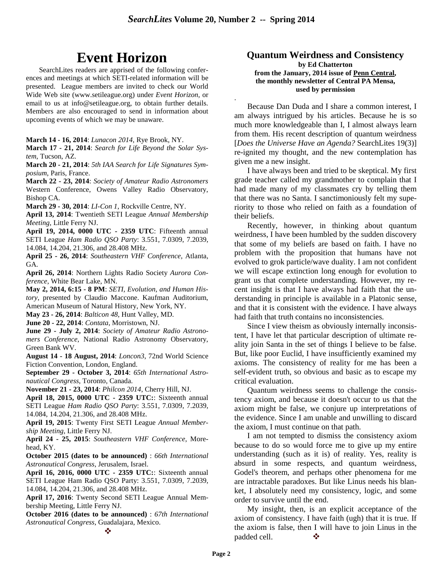.

# **Event Horizon**

SearchLites readers are apprised of the following conferences and meetings at which SETI-related information will be presented. League members are invited to check our World Wide Web site (www.setileague.org) under *Event Horizon*, or email to us at info@setileague.org, to obtain further details. Members are also encouraged to send in information about upcoming events of which we may be unaware.

**March 14 - 16, 2014**: *Lunacon 2014*, Rye Brook, NY.

**March 17 - 21, 2014**: *Search for Life Beyond the Solar System*, Tucson, AZ.

**March 20 - 21, 2014**: *5th IAA Search for Life Signatures Symposium*, Paris, France.

**March 22 - 23, 2014**: *Society of Amateur Radio Astronomers* Western Conference, Owens Valley Radio Observatory, Bishop CA.

**March 29 - 30, 2014**: *LI-Con 1*, Rockville Centre, NY.

**April 13, 2014**: Twentieth SETI League *Annual Membership Meeting*, Little Ferry NJ.

**April 19, 2014, 0000 UTC - 2359 UTC**: Fifteenth annual SETI League *Ham Radio QSO Party*: 3.551, 7.0309, 7.2039, 14.084, 14.204, 21.306, and 28.408 MHz.

**April 25 - 26, 2014**: *Southeastern VHF Conference*, Atlanta, GA.

**April 26, 2014**: Northern Lights Radio Society *Aurora Conference*, White Bear Lake, MN.

**May 2, 2014, 6:15 - 8 PM**: *SETI, Evolution, and Human History*, presented by Claudio Maccone. Kaufman Auditorium, American Museum of Natural History, New York, NY.

**May 23 - 26, 2014**: *Balticon 48*, Hunt Valley, MD.

**June 20 - 22, 2014**: *Contata*, Morristown, NJ.

**June 29 - July 2, 2014**: *Society of Amateur Radio Astronomers Conference*, National Radio Astronomy Observatory, Green Bank WV.

**August 14 - 18 August, 2014**: *Loncon3*, 72nd World Science Fiction Convention, London, England.

**September 29 - October 3, 2014**: *65th International Astronautical Congress*, Toronto, Canada.

**November 21 - 23, 2014**: *Philcon 2014*, Cherry Hill, NJ.

**April 18, 2015, 0000 UTC - 2359 UTC:**: Sixteenth annual SETI League *Ham Radio QSO Party*: 3.551, 7.0309, 7.2039, 14.084, 14.204, 21.306, and 28.408 MHz.

**April 19, 2015**: Twenty First SETI League *Annual Membership Meeting*, Little Ferry NJ.

**April 24 - 25, 2015**: *Southeastern VHF Conference*, Morehead, KY.

**October 2015 (dates to be announced)** : *66th International Astronautical Congress*, Jerusalem, Israel.

**April 16, 2016, 0000 UTC - 2359 UTC:**: Sixteenth annual SETI League Ham Radio QSO Party: 3.551, 7.0309, 7.2039, 14.084, 14.204, 21.306, and 28.408 MHz.

**April 17, 2016**: Twenty Second SETI League Annual Membership Meeting, Little Ferry NJ.

**October 2016 (dates to be announced)** : *67th International Astronautical Congress*, Guadalajara, Mexico.

#### **Quantum Weirdness and Consistency**

**by Ed Chatterton from the January, 2014 issue of Penn Central, the monthly newsletter of Central PA Mensa, used by permission**

Because Dan Duda and I share a common interest, I am always intrigued by his articles. Because he is so much more knowledgeable than I, I almost always learn from them. His recent description of quantum weirdness [*Does the Universe Have an Agenda?* SearchLites 19(3)] re-ignited my thought, and the new contemplation has given me a new insight.

I have always been and tried to be skeptical. My first grade teacher called my grandmother to complain that I had made many of my classmates cry by telling them that there was no Santa. I sanctimoniously felt my superiority to those who relied on faith as a foundation of their beliefs.

Recently, however, in thinking about quantum weirdness, I have been humbled by the sudden discovery that some of my beliefs are based on faith. I have no problem with the proposition that humans have not evolved to grok particle/wave duality. I am not confident we will escape extinction long enough for evolution to grant us that complete understanding. However, my recent insight is that I have always had faith that the understanding in principle is available in a Platonic sense, and that it is consistent with the evidence. I have always had faith that truth contains no inconsistencies.

Since I view theism as obviously internally inconsistent, I have let that particular description of ultimate reality join Santa in the set of things I believe to be false. But, like poor Euclid, I have insufficiently examined my axioms. The consistency of reality for me has been a self-evident truth, so obvious and basic as to escape my critical evaluation.

Quantum weirdness seems to challenge the consistency axiom, and because it doesn't occur to us that the axiom might be false, we conjure up interpretations of the evidence. Since I am unable and unwilling to discard the axiom, I must continue on that path.

I am not tempted to dismiss the consistency axiom because to do so would force me to give up my entire understanding (such as it is) of reality. Yes, reality is absurd in some respects, and quantum weirdness, Godel's theorem, and perhaps other phenomena for me are intractable paradoxes. But like Linus needs his blanket, I absolutely need my consistency, logic, and some order to survive until the end.

My insight, then, is an explicit acceptance of the axiom of consistency. I have faith (ugh) that it is true. If the axiom is false, then I will have to join Linus in the padded cell.  $\bullet$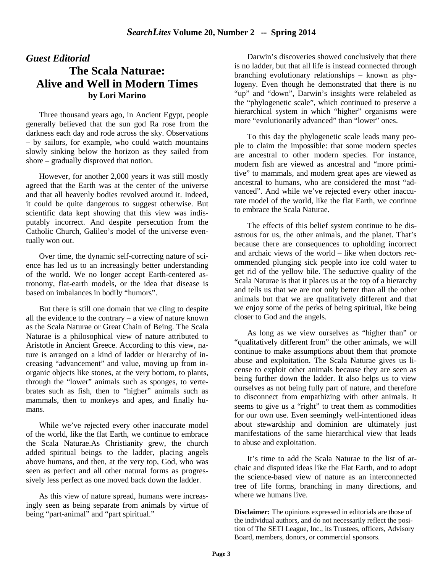### *Guest Editorial*

## **The Scala Naturae: Alive and Well in Modern Times by Lori Marino**

Three thousand years ago, in Ancient Egypt, people generally believed that the sun god Ra rose from the darkness each day and rode across the sky. Observations – by sailors, for example, who could watch mountains slowly sinking below the horizon as they sailed from shore – gradually disproved that notion.

However, for another 2,000 years it was still mostly agreed that the Earth was at the center of the universe and that all heavenly bodies revolved around it. Indeed, it could be quite dangerous to suggest otherwise. But scientific data kept showing that this view was indisputably incorrect. And despite persecution from the Catholic Church, Galileo's model of the universe eventually won out.

Over time, the dynamic self-correcting nature of science has led us to an increasingly better understanding of the world. We no longer accept Earth-centered astronomy, flat-earth models, or the idea that disease is based on imbalances in bodily "humors".

But there is still one domain that we cling to despite all the evidence to the contrary – a view of nature known as the Scala Naturae or Great Chain of Being. The Scala Naturae is a philosophical view of nature attributed to Aristotle in Ancient Greece. According to this view, nature is arranged on a kind of ladder or hierarchy of increasing "advancement" and value, moving up from inorganic objects like stones, at the very bottom, to plants, through the "lower" animals such as sponges, to vertebrates such as fish, then to "higher" animals such as mammals, then to monkeys and apes, and finally humans.

While we've rejected every other inaccurate model of the world, like the flat Earth, we continue to embrace the Scala Naturae.As Christianity grew, the church added spiritual beings to the ladder, placing angels above humans, and then, at the very top, God, who was seen as perfect and all other natural forms as progressively less perfect as one moved back down the ladder.

As this view of nature spread, humans were increasingly seen as being separate from animals by virtue of being "part-animal" and "part spiritual."

Darwin's discoveries showed conclusively that there is no ladder, but that all life is instead connected through branching evolutionary relationships – known as phylogeny. Even though he demonstrated that there is no "up" and "down", Darwin's insights were relabeled as the "phylogenetic scale", which continued to preserve a hierarchical system in which "higher" organisms were more "evolutionarily advanced" than "lower" ones.

To this day the phylogenetic scale leads many people to claim the impossible: that some modern species are ancestral to other modern species. For instance, modern fish are viewed as ancestral and "more primitive" to mammals, and modern great apes are viewed as ancestral to humans, who are considered the most "advanced". And while we've rejected every other inaccurate model of the world, like the flat Earth, we continue to embrace the Scala Naturae.

The effects of this belief system continue to be disastrous for us, the other animals, and the planet. That's because there are consequences to upholding incorrect and archaic views of the world – like when doctors recommended plunging sick people into ice cold water to get rid of the yellow bile. The seductive quality of the Scala Naturae is that it places us at the top of a hierarchy and tells us that we are not only better than all the other animals but that we are qualitatively different and that we enjoy some of the perks of being spiritual, like being closer to God and the angels.

As long as we view ourselves as "higher than" or "qualitatively different from" the other animals, we will continue to make assumptions about them that promote abuse and exploitation. The Scala Naturae gives us license to exploit other animals because they are seen as being further down the ladder. It also helps us to view ourselves as not being fully part of nature, and therefore to disconnect from empathizing with other animals. It seems to give us a "right" to treat them as commodities for our own use. Even seemingly well-intentioned ideas about stewardship and dominion are ultimately just manifestations of the same hierarchical view that leads to abuse and exploitation.

It's time to add the Scala Naturae to the list of archaic and disputed ideas like the Flat Earth, and to adopt the science-based view of nature as an interconnected tree of life forms, branching in many directions, and where we humans live.

**Disclaimer:** The opinions expressed in editorials are those of the individual authors, and do not necessarily reflect the position of The SETI League, Inc., its Trustees, officers, Advisory Board, members, donors, or commercial sponsors.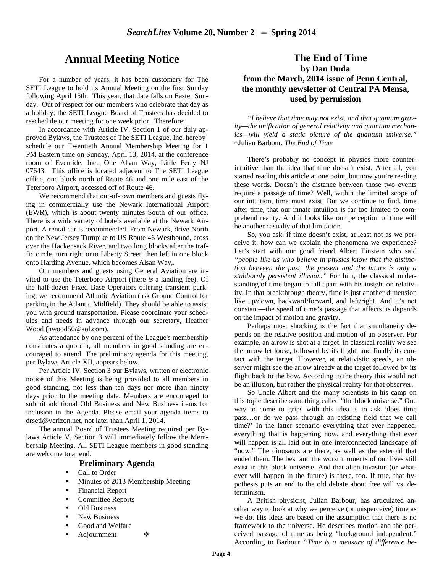## **Annual Meeting Notice**

For a number of years, it has been customary for The SETI League to hold its Annual Meeting on the first Sunday following April 15th. This year, that date falls on Easter Sunday. Out of respect for our members who celebrate that day as a holiday, the SETI League Board of Trustees has decided to reschedule our meeting for one week prior. Therefore:

In accordance with Article IV, Section 1 of our duly approved Bylaws, the Trustees of The SETI League, Inc. hereby schedule our Twentieth Annual Membership Meeting for 1 PM Eastern time on Sunday, April 13, 2014, at the conference room of Eventide, Inc., One Alsan Way, Little Ferry NJ 07643. This office is located adjacent to The SETI League office, one block north of Route 46 and one mile east of the Teterboro Airport, accessed off of Route 46.

We recommend that out-of-town members and guests flying in commercially use the Newark International Airport (EWR), which is about twenty minutes South of our office. There is a wide variety of hotels available at the Newark Airport. A rental car is recommended. From Newark, drive North on the New Jersey Turnpike to US Route 46 Westbound, cross over the Hackensack River, and two long blocks after the traffic circle, turn right onto Liberty Street, then left in one block onto Harding Avenue, which becomes Alsan Way,.

Our members and guests using General Aviation are invited to use the Teterboro Airport (there *is* a landing fee). Of the half-dozen Fixed Base Operators offering transient parking, we recommend Atlantic Aviation (ask Ground Control for parking in the Atlantic Midfield). They should be able to assist you with ground transportation. Please coordinate your schedules and needs in advance through our secretary, Heather Wood (hwood50@aol.com).

As attendance by one percent of the League's membership constitutes a quorum, all members in good standing are encouraged to attend. The preliminary agenda for this meeting, per Bylaws Article XII, appears below.

Per Article IV, Section 3 our Bylaws, written or electronic notice of this Meeting is being provided to all members in good standing, not less than ten days nor more than ninety days prior to the meeting date. Members are encouraged to submit additional Old Business and New Business items for inclusion in the Agenda. Please email your agenda items to drseti@verizon.net, not later than April 1, 2014.

The annual Board of Trustees Meeting required per Bylaws Article V, Section 3 will immediately follow the Membership Meeting. All SETI League members in good standing are welcome to attend.

#### **Preliminary Agenda**

- Call to Order
- Minutes of 2013 Membership Meeting
- Financial Report
- Committee Reports
- Old Business
- New Business
- Good and Welfare
- Adjournment  $\bullet$

## **The End of Time by Dan Duda from the March, 2014 issue of Penn Central, the monthly newsletter of Central PA Mensa, used by permission**

*"I believe that time may not exist, and that quantum gravity—the unification of general relativity and quantum mechanics—will yield a static picture of the quantum universe." ~*Julian Barbour, *The End of Time* 

There's probably no concept in physics more counterintuitive than the idea that time doesn't exist. After all, you started reading this article at one point, but now you're reading these words. Doesn't the distance between those two events require a passage of time? Well, within the limited scope of our intuition, time must exist. But we continue to find, time after time, that our innate intuition is far too limited to comprehend reality. And it looks like our perception of time will be another casualty of that limitation.

So, you ask, if time doesn't exist, at least not as we perceive it, how can we explain the phenomena we experience? Let's start with our good friend Albert Einstein who said *"people like us who believe in physics know that the distinction between the past, the present and the future is only a stubbornly persistent illusion."* For him, the classical understanding of time began to fall apart with his insight on relativity. In that breakthrough theory, time is just another dimension like up/down, backward/forward, and left/right. And it's not constant—the speed of time's passage that affects us depends on the impact of motion and gravity.

Perhaps most shocking is the fact that simultaneity depends on the relative position and motion of an observer. For example, an arrow is shot at a target. In classical reality we see the arrow let loose, followed by its flight, and finally its contact with the target. However, at relativistic speeds, an observer might see the arrow already at the target followed by its flight back to the bow. According to the theory this would not be an illusion, but rather the physical reality for that observer.

So Uncle Albert and the many scientists in his camp on this topic describe something called "the block universe." One way to come to grips with this idea is to ask 'does time pass…or do we pass through an existing field that we call time?' In the latter scenario everything that ever happened, everything that is happening now, and everything that ever will happen is all laid out in one interconnected landscape of "now." The dinosaurs are there, as well as the asteroid that ended them. The best and the worst moments of our lives still exist in this block universe. And that alien invasion (or whatever will happen in the future) is there, too. If true, that hypothesis puts an end to the old debate about free will vs. determinism.

A British physicist, Julian Barbour, has articulated another way to look at why we perceive (or misperceive) time as we do. His ideas are based on the assumption that there is no framework to the universe. He describes motion and the perceived passage of time as being "background independent." According to Barbour *"Time is a measure of difference be-*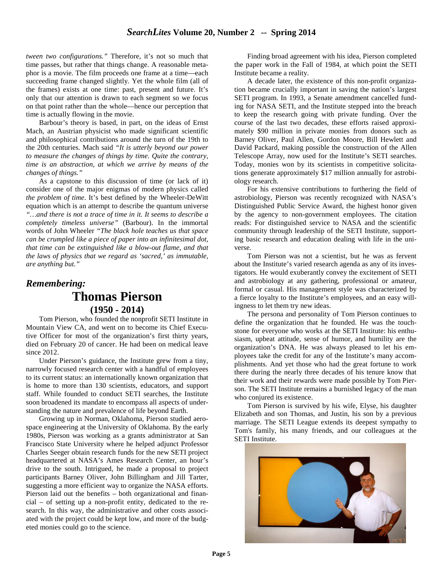*tween two configurations."* Therefore, it's not so much that time passes, but rather that things change. A reasonable metaphor is a movie. The film proceeds one frame at a time—each succeeding frame changed slightly. Yet the whole film (all of the frames) exists at one time: past, present and future. It's only that our attention is drawn to each segment so we focus on that point rather than the whole—hence our perception that time is actually flowing in the movie.

Barbour's theory is based, in part, on the ideas of Ernst Mach, an Austrian physicist who made significant scientific and philosophical contributions around the turn of the 19th to the 20th centuries. Mach said *"It is utterly beyond our power to measure the changes of things by time. Quite the contrary, time is an abstraction, at which we arrive by means of the changes of things."* 

 As a capstone to this discussion of time (or lack of it) consider one of the major enigmas of modern physics called *the problem of time*. It's best defined by the Wheeler-DeWitt equation which is an attempt to describe the quantum universe *"…and there is not a trace of time in it. It seems to describe a completely timeless universe"* (Barbour). In the immortal words of John Wheeler *"The black hole teaches us that space can be crumpled like a piece of paper into an infinitesimal dot, that time can be extinguished like a blow-out flame, and that the laws of physics that we regard as 'sacred,' as immutable, are anything but."* 

# *Remembering:* **Thomas Pierson (1950 - 2014)**

Tom Pierson, who founded the nonprofit SETI Institute in Mountain View CA, and went on to become its Chief Executive Officer for most of the organization's first thirty years, died on February 20 of cancer. He had been on medical leave since 2012.

Under Pierson's guidance, the Institute grew from a tiny, narrowly focused research center with a handful of employees to its current status: an internationally known organization that is home to more than 130 scientists, educators, and support staff. While founded to conduct SETI searches, the Institute soon broadened its mandate to encompass all aspects of understanding the nature and prevalence of life beyond Earth.

Growing up in Norman, Oklahoma, Pierson studied aerospace engineering at the University of Oklahoma. By the early 1980s, Pierson was working as a grants administrator at San Francisco State University where he helped adjunct Professor Charles Seeger obtain research funds for the new SETI project headquartered at NASA's Ames Research Center, an hour's drive to the south. Intrigued, he made a proposal to project participants Barney Oliver, John Billingham and Jill Tarter, suggesting a more efficient way to organize the NASA efforts. Pierson laid out the benefits – both organizational and financial – of setting up a non-profit entity, dedicated to the research. In this way, the administrative and other costs associated with the project could be kept low, and more of the budgeted monies could go to the science.

Finding broad agreement with his idea, Pierson completed the paper work in the Fall of 1984, at which point the SETI Institute became a reality.

A decade later, the existence of this non-profit organization became crucially important in saving the nation's largest SETI program. In 1993, a Senate amendment cancelled funding for NASA SETI, and the Institute stepped into the breach to keep the research going with private funding. Over the course of the last two decades, these efforts raised approximately \$90 million in private monies from donors such as Barney Oliver, Paul Allen, Gordon Moore, Bill Hewlett and David Packard, making possible the construction of the Allen Telescope Array, now used for the Institute's SETI searches. Today, monies won by its scientists in competitive solicitations generate approximately \$17 million annually for astrobiology research.

For his extensive contributions to furthering the field of astrobiology, Pierson was recently recognized with NASA's Distinguished Public Service Award, the highest honor given by the agency to non-government employees. The citation reads: For distinguished service to NASA and the scientific community through leadership of the SETI Institute, supporting basic research and education dealing with life in the universe.

Tom Pierson was not a scientist, but he was as fervent about the Institute's varied research agenda as any of its investigators. He would exuberantly convey the excitement of SETI and astrobiology at any gathering, professional or amateur, formal or casual. His management style was characterized by a fierce loyalty to the Institute's employees, and an easy willingness to let them try new ideas.

The persona and personality of Tom Pierson continues to define the organization that he founded. He was the touchstone for everyone who works at the SETI Institute: his enthusiasm, upbeat attitude, sense of humor, and humility are the organization's DNA. He was always pleased to let his employees take the credit for any of the Institute's many accomplishments. And yet those who had the great fortune to work there during the nearly three decades of his tenure know that their work and their rewards were made possible by Tom Pierson. The SETI Institute remains a burnished legacy of the man who conjured its existence.

Tom Pierson is survived by his wife, Elyse, his daughter Elizabeth and son Thomas, and Justin, his son by a previous marriage. The SETI League extends its deepest sympathy to Tom's family, his many friends, and our colleagues at the SETI Institute.

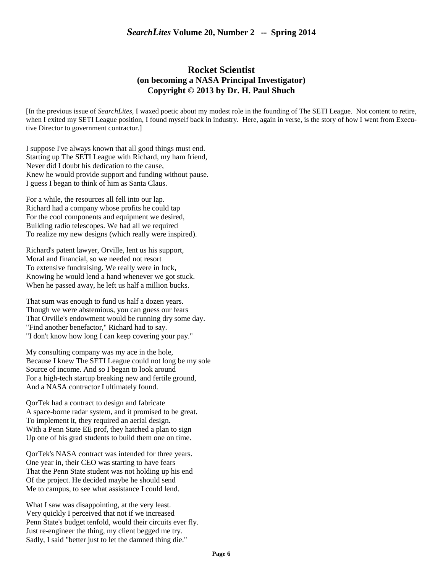### **Rocket Scientist (on becoming a NASA Principal Investigator) Copyright © 2013 by Dr. H. Paul Shuch**

[In the previous issue of *SearchLites*, I waxed poetic about my modest role in the founding of The SETI League. Not content to retire, when I exited my SETI League position, I found myself back in industry. Here, again in verse, is the story of how I went from Executive Director to government contractor.]

I suppose I've always known that all good things must end. Starting up The SETI League with Richard, my ham friend, Never did I doubt his dedication to the cause, Knew he would provide support and funding without pause. I guess I began to think of him as Santa Claus.

For a while, the resources all fell into our lap. Richard had a company whose profits he could tap For the cool components and equipment we desired, Building radio telescopes. We had all we required To realize my new designs (which really were inspired).

Richard's patent lawyer, Orville, lent us his support, Moral and financial, so we needed not resort To extensive fundraising. We really were in luck, Knowing he would lend a hand whenever we got stuck. When he passed away, he left us half a million bucks.

That sum was enough to fund us half a dozen years. Though we were abstemious, you can guess our fears That Orville's endowment would be running dry some day. "Find another benefactor," Richard had to say. "I don't know how long I can keep covering your pay."

My consulting company was my ace in the hole, Because I knew The SETI League could not long be my sole Source of income. And so I began to look around For a high-tech startup breaking new and fertile ground, And a NASA contractor I ultimately found.

QorTek had a contract to design and fabricate A space-borne radar system, and it promised to be great. To implement it, they required an aerial design. With a Penn State EE prof, they hatched a plan to sign Up one of his grad students to build them one on time.

QorTek's NASA contract was intended for three years. One year in, their CEO was starting to have fears That the Penn State student was not holding up his end Of the project. He decided maybe he should send Me to campus, to see what assistance I could lend.

What I saw was disappointing, at the very least. Very quickly I perceived that not if we increased Penn State's budget tenfold, would their circuits ever fly. Just re-engineer the thing, my client begged me try. Sadly, I said "better just to let the damned thing die."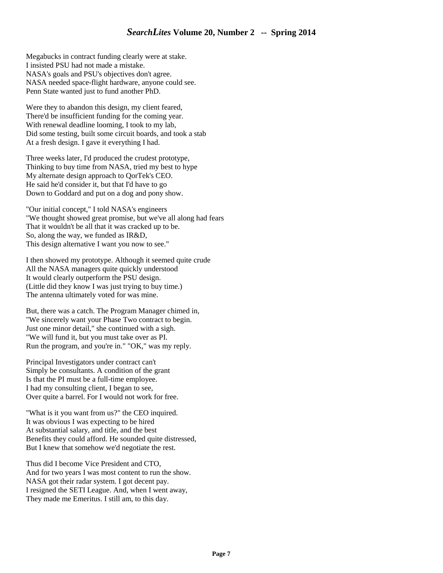Megabucks in contract funding clearly were at stake. I insisted PSU had not made a mistake. NASA's goals and PSU's objectives don't agree. NASA needed space-flight hardware, anyone could see. Penn State wanted just to fund another PhD.

Were they to abandon this design, my client feared, There'd be insufficient funding for the coming year. With renewal deadline looming, I took to my lab, Did some testing, built some circuit boards, and took a stab At a fresh design. I gave it everything I had.

Three weeks later, I'd produced the crudest prototype, Thinking to buy time from NASA, tried my best to hype My alternate design approach to QorTek's CEO. He said he'd consider it, but that I'd have to go Down to Goddard and put on a dog and pony show.

"Our initial concept," I told NASA's engineers "We thought showed great promise, but we've all along had fears That it wouldn't be all that it was cracked up to be. So, along the way, we funded as IR&D, This design alternative I want you now to see."

I then showed my prototype. Although it seemed quite crude All the NASA managers quite quickly understood It would clearly outperform the PSU design. (Little did they know I was just trying to buy time.) The antenna ultimately voted for was mine.

But, there was a catch. The Program Manager chimed in, "We sincerely want your Phase Two contract to begin. Just one minor detail," she continued with a sigh. "We will fund it, but you must take over as PI. Run the program, and you're in." "OK," was my reply.

Principal Investigators under contract can't Simply be consultants. A condition of the grant Is that the PI must be a full-time employee. I had my consulting client, I began to see, Over quite a barrel. For I would not work for free.

"What is it you want from us?" the CEO inquired. It was obvious I was expecting to be hired At substantial salary, and title, and the best Benefits they could afford. He sounded quite distressed, But I knew that somehow we'd negotiate the rest.

Thus did I become Vice President and CTO, And for two years I was most content to run the show. NASA got their radar system. I got decent pay. I resigned the SETI League. And, when I went away, They made me Emeritus. I still am, to this day.